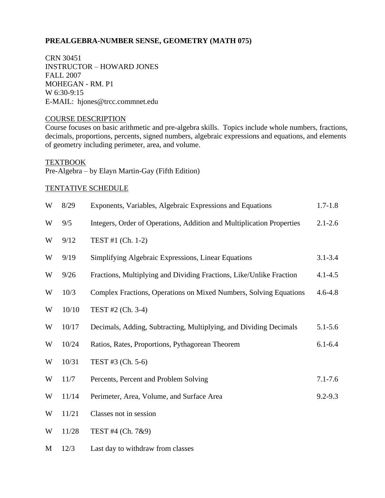# **PREALGEBRA-NUMBER SENSE, GEOMETRY (MATH 075)**

CRN 30451 INSTRUCTOR – HOWARD JONES FALL 2007 MOHEGAN - RM. P1 W 6:30-9:15 E-MAIL: hjones@trcc.commnet.edu

## COURSE DESCRIPTION

Course focuses on basic arithmetic and pre-algebra skills. Topics include whole numbers, fractions, decimals, proportions, percents, signed numbers, algebraic expressions and equations, and elements of geometry including perimeter, area, and volume.

TEXTBOOK

Pre-Algebra – by Elayn Martin-Gay (Fifth Edition)

M 12/3 Last day to withdraw from classes

# TENTATIVE SCHEDULE

| W | 8/29  | Exponents, Variables, Algebraic Expressions and Equations             | $1.7 - 1.8$ |
|---|-------|-----------------------------------------------------------------------|-------------|
| W | 9/5   | Integers, Order of Operations, Addition and Multiplication Properties | $2.1 - 2.6$ |
| W | 9/12  | TEST #1 (Ch. 1-2)                                                     |             |
| W | 9/19  | Simplifying Algebraic Expressions, Linear Equations                   | $3.1 - 3.4$ |
| W | 9/26  | Fractions, Multiplying and Dividing Fractions, Like/Unlike Fraction   | $4.1 - 4.5$ |
| W | 10/3  | Complex Fractions, Operations on Mixed Numbers, Solving Equations     | $4.6 - 4.8$ |
| W | 10/10 | TEST #2 (Ch. 3-4)                                                     |             |
| W | 10/17 | Decimals, Adding, Subtracting, Multiplying, and Dividing Decimals     | $5.1 - 5.6$ |
| W | 10/24 | Ratios, Rates, Proportions, Pythagorean Theorem                       | $6.1 - 6.4$ |
| W | 10/31 | TEST #3 (Ch. 5-6)                                                     |             |
| W | 11/7  | Percents, Percent and Problem Solving                                 | $7.1 - 7.6$ |
| W | 11/14 | Perimeter, Area, Volume, and Surface Area                             | $9.2 - 9.3$ |
| W | 11/21 | Classes not in session                                                |             |
| W | 11/28 | TEST #4 (Ch. 7&9)                                                     |             |
|   |       |                                                                       |             |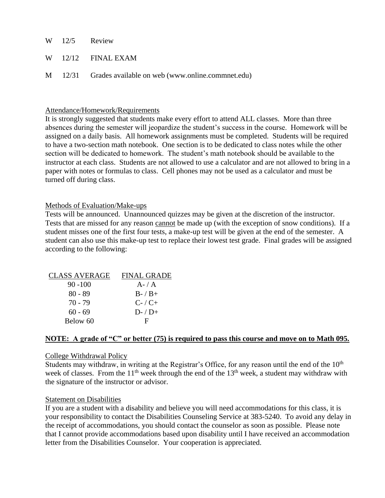- W 12/5 Review
- W 12/12 FINAL EXAM
- M 12/31 Grades available on web (www.online.commnet.edu)

## Attendance/Homework/Requirements

It is strongly suggested that students make every effort to attend ALL classes. More than three absences during the semester will jeopardize the student's success in the course. Homework will be assigned on a daily basis. All homework assignments must be completed. Students will be required to have a two-section math notebook. One section is to be dedicated to class notes while the other section will be dedicated to homework. The student's math notebook should be available to the instructor at each class. Students are not allowed to use a calculator and are not allowed to bring in a paper with notes or formulas to class. Cell phones may not be used as a calculator and must be turned off during class.

### Methods of Evaluation/Make-ups

Tests will be announced. Unannounced quizzes may be given at the discretion of the instructor. Tests that are missed for any reason cannot be made up (with the exception of snow conditions). If a student misses one of the first four tests, a make-up test will be given at the end of the semester. A student can also use this make-up test to replace their lowest test grade. Final grades will be assigned according to the following:

| <b>CLASS AVERAGE</b> | <b>FINAL GRADE</b> |
|----------------------|--------------------|
| $90 - 100$           | $A - / A$          |
| $80 - 89$            | $B - / B +$        |
| 70 - 79              | $C$ - / $C$ +      |
| $60 - 69$            | $D-$ / $D+$        |
| Below 60             | н                  |

# **NOTE: A grade of "C" or better (75) is required to pass this course and move on to Math 095.**

#### College Withdrawal Policy

Students may withdraw, in writing at the Registrar's Office, for any reason until the end of the  $10<sup>th</sup>$ week of classes. From the  $11<sup>th</sup>$  week through the end of the  $13<sup>th</sup>$  week, a student may withdraw with the signature of the instructor or advisor.

#### Statement on Disabilities

If you are a student with a disability and believe you will need accommodations for this class, it is your responsibility to contact the Disabilities Counseling Service at 383-5240. To avoid any delay in the receipt of accommodations, you should contact the counselor as soon as possible. Please note that I cannot provide accommodations based upon disability until I have received an accommodation letter from the Disabilities Counselor. Your cooperation is appreciated.